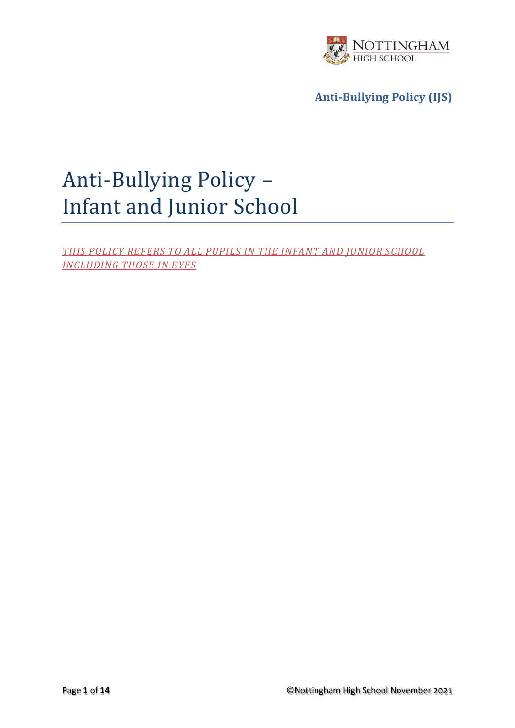

# Anti-Bullying Policy – Infant and Junior School

*THIS POLICY REFERS TO ALL PUPILS IN THE INFANT AND JUNIOR SCHOOL INCLUDING THOSE IN EYFS*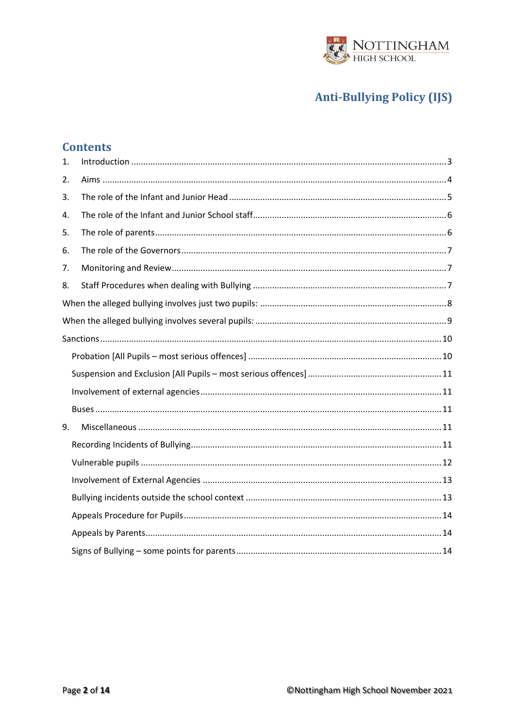

### **Contents**

| 1. |  |  |
|----|--|--|
| 2. |  |  |
| 3. |  |  |
| 4. |  |  |
| 5. |  |  |
| 6. |  |  |
| 7. |  |  |
| 8. |  |  |
|    |  |  |
|    |  |  |
|    |  |  |
|    |  |  |
|    |  |  |
|    |  |  |
|    |  |  |
| 9. |  |  |
|    |  |  |
|    |  |  |
|    |  |  |
|    |  |  |
|    |  |  |
|    |  |  |
|    |  |  |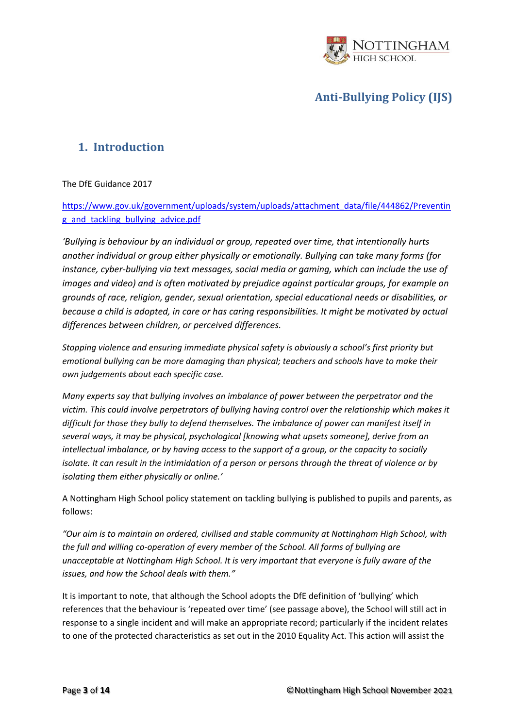

### <span id="page-2-0"></span>**1. Introduction**

#### The DfE Guidance 2017

[https://www.gov.uk/government/uploads/system/uploads/attachment\\_data/file/444862/Preventin](https://www.gov.uk/government/uploads/system/uploads/attachment_data/file/444862/Preventing_and_tackling_bullying_advice.pdf) [g\\_and\\_tackling\\_bullying\\_advice.pdf](https://www.gov.uk/government/uploads/system/uploads/attachment_data/file/444862/Preventing_and_tackling_bullying_advice.pdf)

*'Bullying is behaviour by an individual or group, repeated over time, that intentionally hurts another individual or group either physically or emotionally. Bullying can take many forms (for instance, cyber-bullying via text messages, social media or gaming, which can include the use of images and video) and is often motivated by prejudice against particular groups, for example on grounds of race, religion, gender, sexual orientation, special educational needs or disabilities, or because a child is adopted, in care or has caring responsibilities. It might be motivated by actual differences between children, or perceived differences.* 

*Stopping violence and ensuring immediate physical safety is obviously a school's first priority but emotional bullying can be more damaging than physical; teachers and schools have to make their own judgements about each specific case.*

*Many experts say that bullying involves an imbalance of power between the perpetrator and the victim. This could involve perpetrators of bullying having control over the relationship which makes it difficult for those they bully to defend themselves. The imbalance of power can manifest itself in several ways, it may be physical, psychological [knowing what upsets someone], derive from an intellectual imbalance, or by having access to the support of a group, or the capacity to socially isolate. It can result in the intimidation of a person or persons through the threat of violence or by isolating them either physically or online.'*

A Nottingham High School policy statement on tackling bullying is published to pupils and parents, as follows:

*"Our aim is to maintain an ordered, civilised and stable community at Nottingham High School, with the full and willing co-operation of every member of the School. All forms of bullying are unacceptable at Nottingham High School. It is very important that everyone is fully aware of the issues, and how the School deals with them."*

It is important to note, that although the School adopts the DfE definition of 'bullying' which references that the behaviour is 'repeated over time' (see passage above), the School will still act in response to a single incident and will make an appropriate record; particularly if the incident relates to one of the protected characteristics as set out in the 2010 Equality Act. This action will assist the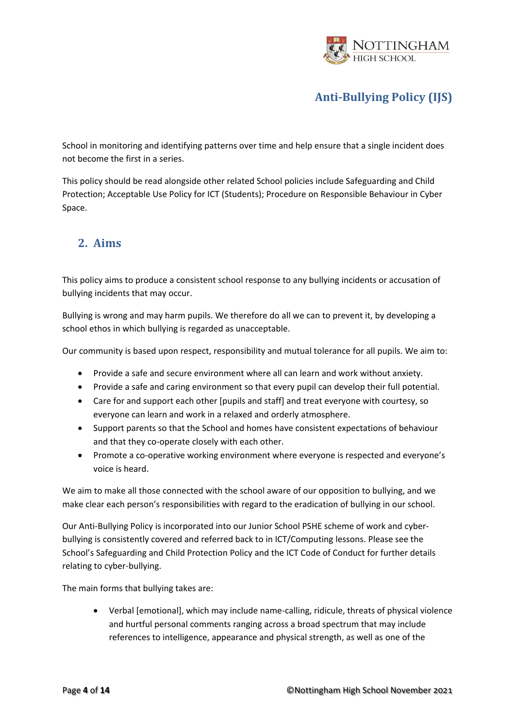

School in monitoring and identifying patterns over time and help ensure that a single incident does not become the first in a series.

This policy should be read alongside other related School policies include Safeguarding and Child Protection; Acceptable Use Policy for ICT (Students); Procedure on Responsible Behaviour in Cyber Space.

### <span id="page-3-0"></span>**2. Aims**

This policy aims to produce a consistent school response to any bullying incidents or accusation of bullying incidents that may occur.

Bullying is wrong and may harm pupils. We therefore do all we can to prevent it, by developing a school ethos in which bullying is regarded as unacceptable.

Our community is based upon respect, responsibility and mutual tolerance for all pupils. We aim to:

- Provide a safe and secure environment where all can learn and work without anxiety.
- Provide a safe and caring environment so that every pupil can develop their full potential.
- Care for and support each other [pupils and staff] and treat everyone with courtesy, so everyone can learn and work in a relaxed and orderly atmosphere.
- Support parents so that the School and homes have consistent expectations of behaviour and that they co-operate closely with each other.
- Promote a co-operative working environment where everyone is respected and everyone's voice is heard.

We aim to make all those connected with the school aware of our opposition to bullying, and we make clear each person's responsibilities with regard to the eradication of bullying in our school.

Our Anti-Bullying Policy is incorporated into our Junior School PSHE scheme of work and cyberbullying is consistently covered and referred back to in ICT/Computing lessons. Please see the School's Safeguarding and Child Protection Policy and the ICT Code of Conduct for further details relating to cyber-bullying.

The main forms that bullying takes are:

• Verbal [emotional], which may include name-calling, ridicule, threats of physical violence and hurtful personal comments ranging across a broad spectrum that may include references to intelligence, appearance and physical strength, as well as one of the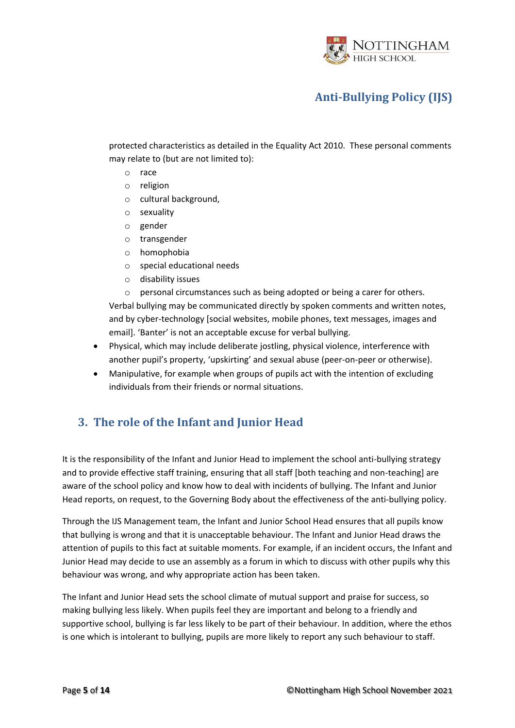

protected characteristics as detailed in the Equality Act 2010. These personal comments may relate to (but are not limited to):

- o race
- o religion
- o cultural background,
- o sexuality
- o gender
- o transgender
- o homophobia
- o special educational needs
- o disability issues

o personal circumstances such as being adopted or being a carer for others. Verbal bullying may be communicated directly by spoken comments and written notes, and by cyber-technology [social websites, mobile phones, text messages, images and email]. 'Banter' is not an acceptable excuse for verbal bullying.

- Physical, which may include deliberate jostling, physical violence, interference with another pupil's property, 'upskirting' and sexual abuse (peer-on-peer or otherwise).
- Manipulative, for example when groups of pupils act with the intention of excluding individuals from their friends or normal situations.

### <span id="page-4-0"></span>**3. The role of the Infant and Junior Head**

It is the responsibility of the Infant and Junior Head to implement the school anti-bullying strategy and to provide effective staff training, ensuring that all staff [both teaching and non-teaching] are aware of the school policy and know how to deal with incidents of bullying. The Infant and Junior Head reports, on request, to the Governing Body about the effectiveness of the anti-bullying policy.

Through the IJS Management team, the Infant and Junior School Head ensures that all pupils know that bullying is wrong and that it is unacceptable behaviour. The Infant and Junior Head draws the attention of pupils to this fact at suitable moments. For example, if an incident occurs, the Infant and Junior Head may decide to use an assembly as a forum in which to discuss with other pupils why this behaviour was wrong, and why appropriate action has been taken.

The Infant and Junior Head sets the school climate of mutual support and praise for success, so making bullying less likely. When pupils feel they are important and belong to a friendly and supportive school, bullying is far less likely to be part of their behaviour. In addition, where the ethos is one which is intolerant to bullying, pupils are more likely to report any such behaviour to staff.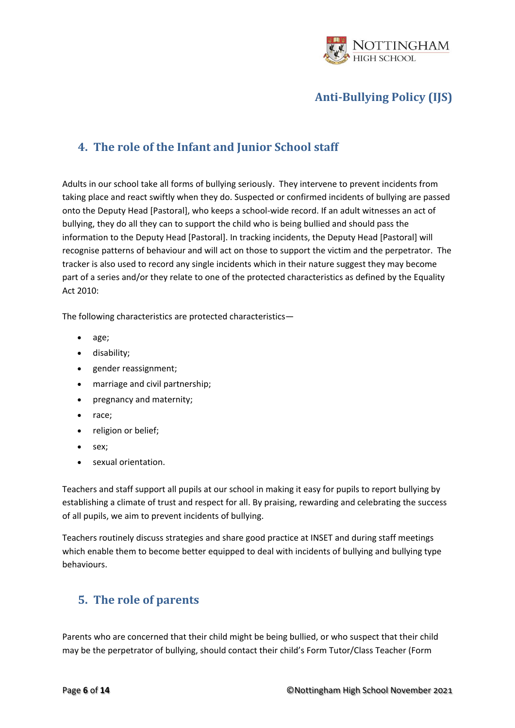

### <span id="page-5-0"></span>**4. The role of the Infant and Junior School staff**

Adults in our school take all forms of bullying seriously. They intervene to prevent incidents from taking place and react swiftly when they do. Suspected or confirmed incidents of bullying are passed onto the Deputy Head [Pastoral], who keeps a school-wide record. If an adult witnesses an act of bullying, they do all they can to support the child who is being bullied and should pass the information to the Deputy Head [Pastoral]. In tracking incidents, the Deputy Head [Pastoral] will recognise patterns of behaviour and will act on those to support the victim and the perpetrator. The tracker is also used to record any single incidents which in their nature suggest they may become part of a series and/or they relate to one of the protected characteristics as defined by the Equality Act 2010:

The following characteristics are protected characteristics—

- age;
- disability;
- gender reassignment;
- marriage and civil partnership;
- pregnancy and maternity;
- race;
- religion or belief;
- sex;
- sexual orientation.

Teachers and staff support all pupils at our school in making it easy for pupils to report bullying by establishing a climate of trust and respect for all. By praising, rewarding and celebrating the success of all pupils, we aim to prevent incidents of bullying.

Teachers routinely discuss strategies and share good practice at INSET and during staff meetings which enable them to become better equipped to deal with incidents of bullying and bullying type behaviours.

### <span id="page-5-1"></span>**5. The role of parents**

Parents who are concerned that their child might be being bullied, or who suspect that their child may be the perpetrator of bullying, should contact their child's Form Tutor/Class Teacher (Form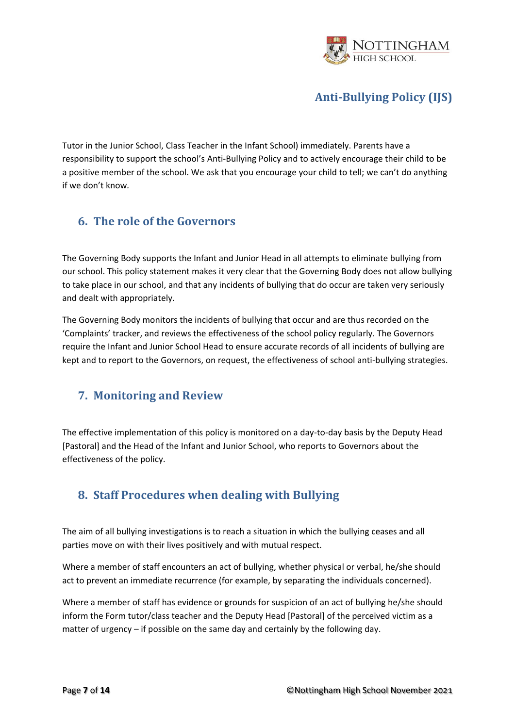

Tutor in the Junior School, Class Teacher in the Infant School) immediately. Parents have a responsibility to support the school's Anti-Bullying Policy and to actively encourage their child to be a positive member of the school. We ask that you encourage your child to tell; we can't do anything if we don't know*.* 

### <span id="page-6-0"></span>**6. The role of the Governors**

The Governing Body supports the Infant and Junior Head in all attempts to eliminate bullying from our school. This policy statement makes it very clear that the Governing Body does not allow bullying to take place in our school, and that any incidents of bullying that do occur are taken very seriously and dealt with appropriately.

The Governing Body monitors the incidents of bullying that occur and are thus recorded on the 'Complaints' tracker, and reviews the effectiveness of the school policy regularly. The Governors require the Infant and Junior School Head to ensure accurate records of all incidents of bullying are kept and to report to the Governors, on request, the effectiveness of school anti-bullying strategies.

### <span id="page-6-1"></span>**7. Monitoring and Review**

The effective implementation of this policy is monitored on a day-to-day basis by the Deputy Head [Pastoral] and the Head of the Infant and Junior School, who reports to Governors about the effectiveness of the policy.

### <span id="page-6-2"></span>**8. Staff Procedures when dealing with Bullying**

The aim of all bullying investigations is to reach a situation in which the bullying ceases and all parties move on with their lives positively and with mutual respect.

Where a member of staff encounters an act of bullying, whether physical or verbal, he/she should act to prevent an immediate recurrence (for example, by separating the individuals concerned).

Where a member of staff has evidence or grounds for suspicion of an act of bullying he/she should inform the Form tutor/class teacher and the Deputy Head [Pastoral] of the perceived victim as a matter of urgency – if possible on the same day and certainly by the following day.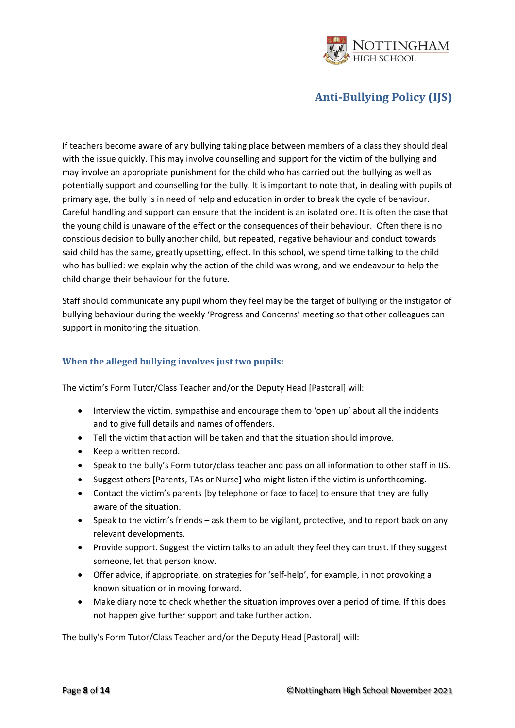

If teachers become aware of any bullying taking place between members of a class they should deal with the issue quickly. This may involve counselling and support for the victim of the bullying and may involve an appropriate punishment for the child who has carried out the bullying as well as potentially support and counselling for the bully. It is important to note that, in dealing with pupils of primary age, the bully is in need of help and education in order to break the cycle of behaviour. Careful handling and support can ensure that the incident is an isolated one. It is often the case that the young child is unaware of the effect or the consequences of their behaviour. Often there is no conscious decision to bully another child, but repeated, negative behaviour and conduct towards said child has the same, greatly upsetting, effect. In this school, we spend time talking to the child who has bullied: we explain why the action of the child was wrong, and we endeavour to help the child change their behaviour for the future.

Staff should communicate any pupil whom they feel may be the target of bullying or the instigator of bullying behaviour during the weekly 'Progress and Concerns' meeting so that other colleagues can support in monitoring the situation.

#### <span id="page-7-0"></span>**When the alleged bullying involves just two pupils:**

The victim's Form Tutor/Class Teacher and/or the Deputy Head [Pastoral] will:

- Interview the victim, sympathise and encourage them to 'open up' about all the incidents and to give full details and names of offenders.
- Tell the victim that action will be taken and that the situation should improve.
- Keep a written record.
- Speak to the bully's Form tutor/class teacher and pass on all information to other staff in IJS.
- Suggest others [Parents, TAs or Nurse] who might listen if the victim is unforthcoming.
- Contact the victim's parents [by telephone or face to face] to ensure that they are fully aware of the situation.
- Speak to the victim's friends ask them to be vigilant, protective, and to report back on any relevant developments.
- Provide support. Suggest the victim talks to an adult they feel they can trust. If they suggest someone, let that person know.
- Offer advice, if appropriate, on strategies for 'self-help', for example, in not provoking a known situation or in moving forward.
- Make diary note to check whether the situation improves over a period of time. If this does not happen give further support and take further action.

The bully's Form Tutor/Class Teacher and/or the Deputy Head [Pastoral] will: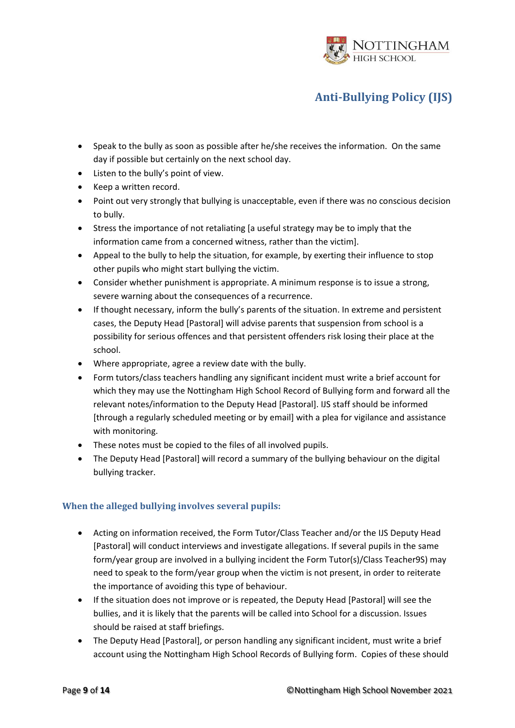

- Speak to the bully as soon as possible after he/she receives the information. On the same day if possible but certainly on the next school day.
- Listen to the bully's point of view.
- Keep a written record.
- Point out very strongly that bullying is unacceptable, even if there was no conscious decision to bully.
- Stress the importance of not retaliating [a useful strategy may be to imply that the information came from a concerned witness, rather than the victim].
- Appeal to the bully to help the situation, for example, by exerting their influence to stop other pupils who might start bullying the victim.
- Consider whether punishment is appropriate. A minimum response is to issue a strong, severe warning about the consequences of a recurrence.
- If thought necessary, inform the bully's parents of the situation. In extreme and persistent cases, the Deputy Head [Pastoral] will advise parents that suspension from school is a possibility for serious offences and that persistent offenders risk losing their place at the school.
- Where appropriate, agree a review date with the bully.
- Form tutors/class teachers handling any significant incident must write a brief account for which they may use the Nottingham High School Record of Bullying form and forward all the relevant notes/information to the Deputy Head [Pastoral]. IJS staff should be informed [through a regularly scheduled meeting or by email] with a plea for vigilance and assistance with monitoring.
- These notes must be copied to the files of all involved pupils.
- The Deputy Head [Pastoral] will record a summary of the bullying behaviour on the digital bullying tracker.

#### <span id="page-8-0"></span>**When the alleged bullying involves several pupils:**

- Acting on information received, the Form Tutor/Class Teacher and/or the IJS Deputy Head [Pastoral] will conduct interviews and investigate allegations. If several pupils in the same form/year group are involved in a bullying incident the Form Tutor(s)/Class Teacher9S) may need to speak to the form/year group when the victim is not present, in order to reiterate the importance of avoiding this type of behaviour.
- If the situation does not improve or is repeated, the Deputy Head [Pastoral] will see the bullies, and it is likely that the parents will be called into School for a discussion. Issues should be raised at staff briefings.
- The Deputy Head [Pastoral], or person handling any significant incident, must write a brief account using the Nottingham High School Records of Bullying form. Copies of these should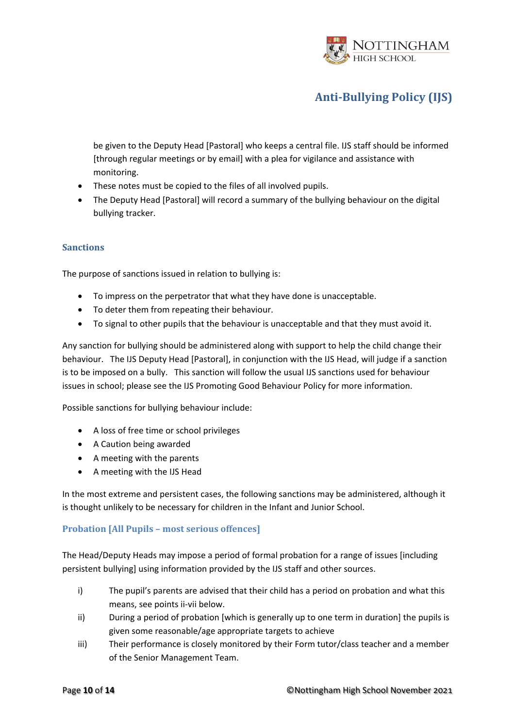

be given to the Deputy Head [Pastoral] who keeps a central file. IJS staff should be informed [through regular meetings or by email] with a plea for vigilance and assistance with monitoring.

- These notes must be copied to the files of all involved pupils.
- The Deputy Head [Pastoral] will record a summary of the bullying behaviour on the digital bullying tracker.

#### <span id="page-9-0"></span>**Sanctions**

The purpose of sanctions issued in relation to bullying is:

- To impress on the perpetrator that what they have done is unacceptable.
- To deter them from repeating their behaviour.
- To signal to other pupils that the behaviour is unacceptable and that they must avoid it.

Any sanction for bullying should be administered along with support to help the child change their behaviour. The IJS Deputy Head [Pastoral], in conjunction with the IJS Head, will judge if a sanction is to be imposed on a bully. This sanction will follow the usual IJS sanctions used for behaviour issues in school; please see the IJS Promoting Good Behaviour Policy for more information.

Possible sanctions for bullying behaviour include:

- A loss of free time or school privileges
- A Caution being awarded
- A meeting with the parents
- A meeting with the IJS Head

In the most extreme and persistent cases, the following sanctions may be administered, although it is thought unlikely to be necessary for children in the Infant and Junior School.

#### <span id="page-9-1"></span>**Probation [All Pupils – most serious offences]**

The Head/Deputy Heads may impose a period of formal probation for a range of issues [including persistent bullying] using information provided by the IJS staff and other sources.

- i) The pupil's parents are advised that their child has a period on probation and what this means, see points ii-vii below.
- ii) During a period of probation [which is generally up to one term in duration] the pupils is given some reasonable/age appropriate targets to achieve
- iii) Their performance is closely monitored by their Form tutor/class teacher and a member of the Senior Management Team.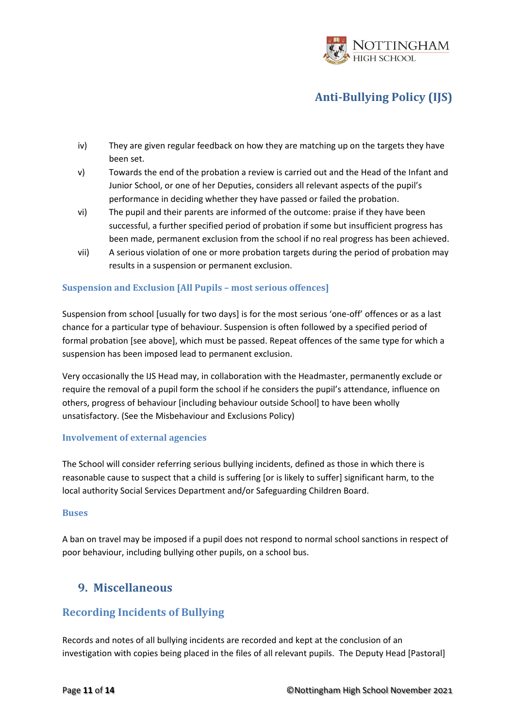

- iv) They are given regular feedback on how they are matching up on the targets they have been set.
- v) Towards the end of the probation a review is carried out and the Head of the Infant and Junior School, or one of her Deputies, considers all relevant aspects of the pupil's performance in deciding whether they have passed or failed the probation.
- vi) The pupil and their parents are informed of the outcome: praise if they have been successful, a further specified period of probation if some but insufficient progress has been made, permanent exclusion from the school if no real progress has been achieved.
- vii) A serious violation of one or more probation targets during the period of probation may results in a suspension or permanent exclusion.

#### <span id="page-10-0"></span>**Suspension and Exclusion [All Pupils – most serious offences]**

Suspension from school [usually for two days] is for the most serious 'one-off' offences or as a last chance for a particular type of behaviour. Suspension is often followed by a specified period of formal probation [see above], which must be passed. Repeat offences of the same type for which a suspension has been imposed lead to permanent exclusion.

Very occasionally the IJS Head may, in collaboration with the Headmaster, permanently exclude or require the removal of a pupil form the school if he considers the pupil's attendance, influence on others, progress of behaviour [including behaviour outside School] to have been wholly unsatisfactory. (See the Misbehaviour and Exclusions Policy)

#### <span id="page-10-1"></span>**Involvement of external agencies**

The School will consider referring serious bullying incidents, defined as those in which there is reasonable cause to suspect that a child is suffering [or is likely to suffer] significant harm, to the local authority Social Services Department and/or Safeguarding Children Board.

#### <span id="page-10-2"></span>**Buses**

A ban on travel may be imposed if a pupil does not respond to normal school sanctions in respect of poor behaviour, including bullying other pupils, on a school bus.

### <span id="page-10-3"></span>**9. Miscellaneous**

### <span id="page-10-4"></span>**Recording Incidents of Bullying**

Records and notes of all bullying incidents are recorded and kept at the conclusion of an investigation with copies being placed in the files of all relevant pupils. The Deputy Head [Pastoral]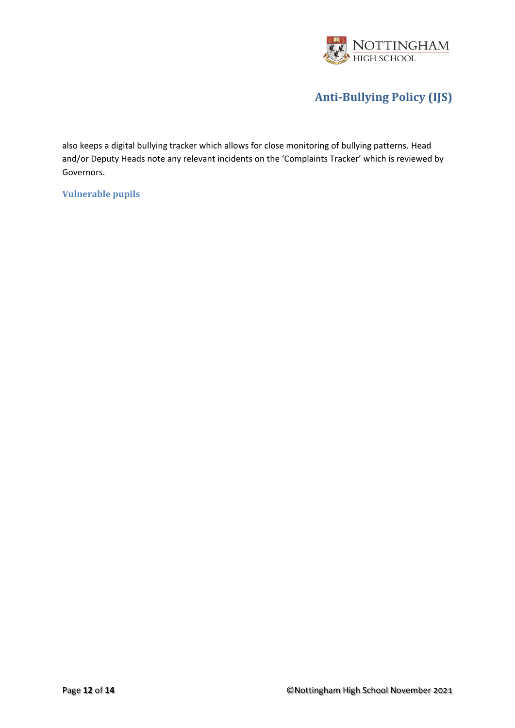

also keeps a digital bullying tracker which allows for close monitoring of bullying patterns. Head and/or Deputy Heads note any relevant incidents on the 'Complaints Tracker' which is reviewed by Governors.

<span id="page-11-0"></span>**Vulnerable pupils**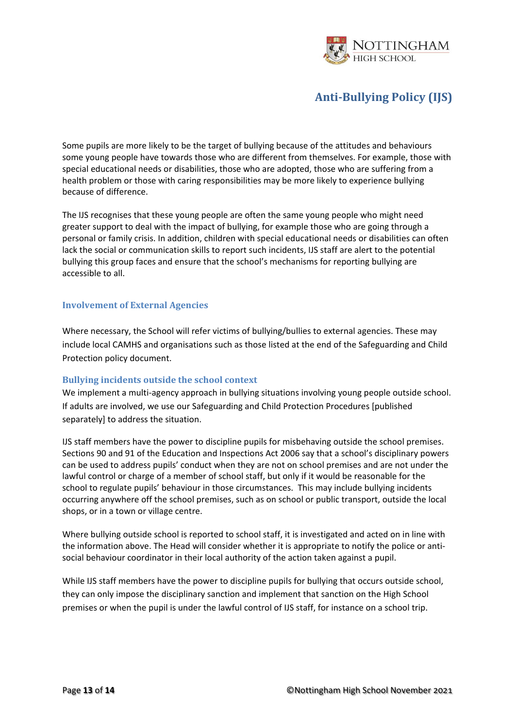

Some pupils are more likely to be the target of bullying because of the attitudes and behaviours some young people have towards those who are different from themselves. For example, those with special educational needs or disabilities, those who are adopted, those who are suffering from a health problem or those with caring responsibilities may be more likely to experience bullying because of difference.

The IJS recognises that these young people are often the same young people who might need greater support to deal with the impact of bullying, for example those who are going through a personal or family crisis. In addition, children with special educational needs or disabilities can often lack the social or communication skills to report such incidents, IJS staff are alert to the potential bullying this group faces and ensure that the school's mechanisms for reporting bullying are accessible to all.

#### <span id="page-12-0"></span>**Involvement of External Agencies**

Where necessary, the School will refer victims of bullying/bullies to external agencies. These may include local CAMHS and organisations such as those listed at the end of the Safeguarding and Child Protection policy document.

#### <span id="page-12-1"></span>**Bullying incidents outside the school context**

We implement a multi-agency approach in bullying situations involving young people outside school. If adults are involved, we use our Safeguarding and Child Protection Procedures [published separately] to address the situation.

IJS staff members have the power to discipline pupils for misbehaving outside the school premises. Sections 90 and 91 of the Education and Inspections Act 2006 say that a school's disciplinary powers can be used to address pupils' conduct when they are not on school premises and are not under the lawful control or charge of a member of school staff, but only if it would be reasonable for the school to regulate pupils' behaviour in those circumstances. This may include bullying incidents occurring anywhere off the school premises, such as on school or public transport, outside the local shops, or in a town or village centre.

Where bullying outside school is reported to school staff, it is investigated and acted on in line with the information above. The Head will consider whether it is appropriate to notify the police or antisocial behaviour coordinator in their local authority of the action taken against a pupil.

While IJS staff members have the power to discipline pupils for bullying that occurs outside school, they can only impose the disciplinary sanction and implement that sanction on the High School premises or when the pupil is under the lawful control of IJS staff, for instance on a school trip.